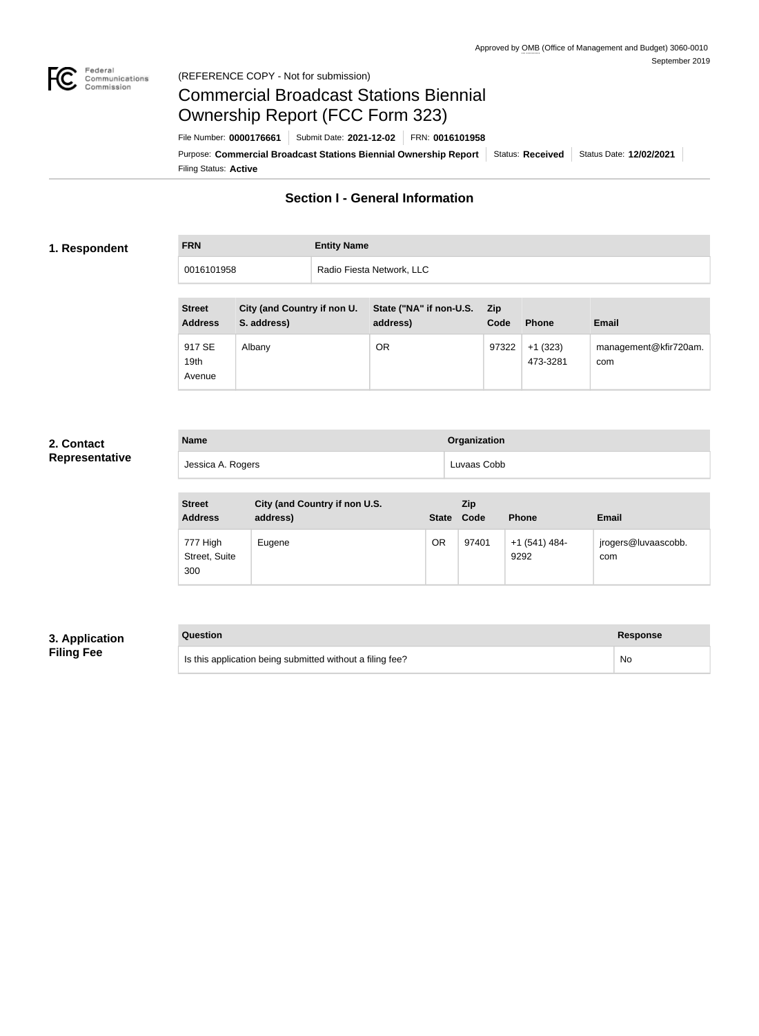

## Federal<br>Communications<br>Commission (REFERENCE COPY - Not for submission)

# Commercial Broadcast Stations Biennial Ownership Report (FCC Form 323)

Filing Status: **Active** Purpose: Commercial Broadcast Stations Biennial Ownership Report Status: Received Status Date: 12/02/2021 File Number: **0000176661** Submit Date: **2021-12-02** FRN: **0016101958**

# **Section I - General Information**

### **1. Respondent**

| <b>FRN</b> | <b>Entity Name</b>        |
|------------|---------------------------|
| 0016101958 | Radio Fiesta Network, LLC |

| <b>Street</b><br><b>Address</b>      | City (and Country if non U.<br>S. address) | State ("NA" if non-U.S.<br>address) | <b>Zip</b><br>Code | <b>Phone</b>          | <b>Email</b>                 |
|--------------------------------------|--------------------------------------------|-------------------------------------|--------------------|-----------------------|------------------------------|
| 917 SE<br>19 <sub>th</sub><br>Avenue | Albany                                     | <b>OR</b>                           | 97322              | $+1(323)$<br>473-3281 | management@kfir720am.<br>com |

## **2. Contact Representative**

| <b>Name</b>       | Organization |
|-------------------|--------------|
| Jessica A. Rogers | Luvaas Cobb  |

| <b>Street</b><br><b>Address</b>  | City (and Country if non U.S.<br>address) | <b>State</b> | Zip<br>Code | <b>Phone</b>          | <b>Email</b>               |
|----------------------------------|-------------------------------------------|--------------|-------------|-----------------------|----------------------------|
| 777 High<br>Street, Suite<br>300 | Eugene                                    | OR           | 97401       | +1 (541) 484-<br>9292 | jrogers@luvaascobb.<br>com |

## **3. Application Filing Fee**

| Question                                                  | Response |
|-----------------------------------------------------------|----------|
| Is this application being submitted without a filing fee? | No       |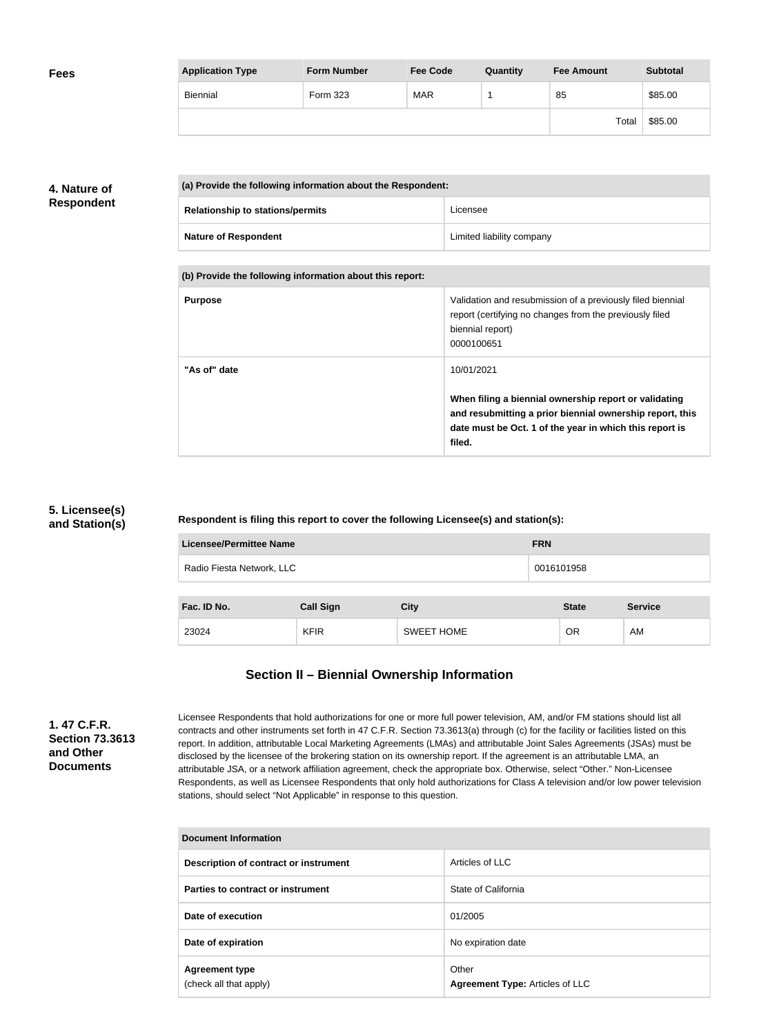| <b>Fees</b> | <b>Application Type</b> | <b>Form Number</b> | <b>Fee Code</b> | Quantity | <b>Fee Amount</b> | <b>Subtotal</b> |
|-------------|-------------------------|--------------------|-----------------|----------|-------------------|-----------------|
|             | Biennial                | Form 323           | <b>MAR</b>      |          | 85                | \$85.00         |
|             |                         |                    |                 |          | Total             | \$85.00         |

# **4. Nature of Respondent**

| (a) Provide the following information about the Respondent: |                           |  |
|-------------------------------------------------------------|---------------------------|--|
| <b>Relationship to stations/permits</b>                     | Licensee                  |  |
| <b>Nature of Respondent</b>                                 | Limited liability company |  |

**(b) Provide the following information about this report:**

| <b>Purpose</b> | Validation and resubmission of a previously filed biennial<br>report (certifying no changes from the previously filed<br>biennial report)<br>0000100651                                |
|----------------|----------------------------------------------------------------------------------------------------------------------------------------------------------------------------------------|
| "As of" date   | 10/01/2021                                                                                                                                                                             |
|                | When filing a biennial ownership report or validating<br>and resubmitting a prior biennial ownership report, this<br>date must be Oct. 1 of the year in which this report is<br>filed. |

## **5. Licensee(s) and Station(s)**

**Respondent is filing this report to cover the following Licensee(s) and station(s):**

| <b>Licensee/Permittee Name</b> | <b>FRN</b>       |                   |            |              |                |
|--------------------------------|------------------|-------------------|------------|--------------|----------------|
| Radio Fiesta Network, LLC      |                  |                   | 0016101958 |              |                |
| Fac. ID No.                    |                  |                   |            | <b>State</b> | <b>Service</b> |
|                                | <b>Call Sign</b> | <b>City</b>       |            |              |                |
| 23024                          | <b>KFIR</b>      | <b>SWEET HOME</b> |            | 0R           | AM             |

# **Section II – Biennial Ownership Information**

**1. 47 C.F.R. Section 73.3613 and Other Documents**

Licensee Respondents that hold authorizations for one or more full power television, AM, and/or FM stations should list all contracts and other instruments set forth in 47 C.F.R. Section 73.3613(a) through (c) for the facility or facilities listed on this report. In addition, attributable Local Marketing Agreements (LMAs) and attributable Joint Sales Agreements (JSAs) must be disclosed by the licensee of the brokering station on its ownership report. If the agreement is an attributable LMA, an attributable JSA, or a network affiliation agreement, check the appropriate box. Otherwise, select "Other." Non-Licensee Respondents, as well as Licensee Respondents that only hold authorizations for Class A television and/or low power television stations, should select "Not Applicable" in response to this question.

| <b>Document Information</b>                     |                                                 |  |
|-------------------------------------------------|-------------------------------------------------|--|
| Description of contract or instrument           | Articles of LLC                                 |  |
| Parties to contract or instrument               | State of California                             |  |
| Date of execution                               | 01/2005                                         |  |
| Date of expiration                              | No expiration date                              |  |
| <b>Agreement type</b><br>(check all that apply) | Other<br><b>Agreement Type: Articles of LLC</b> |  |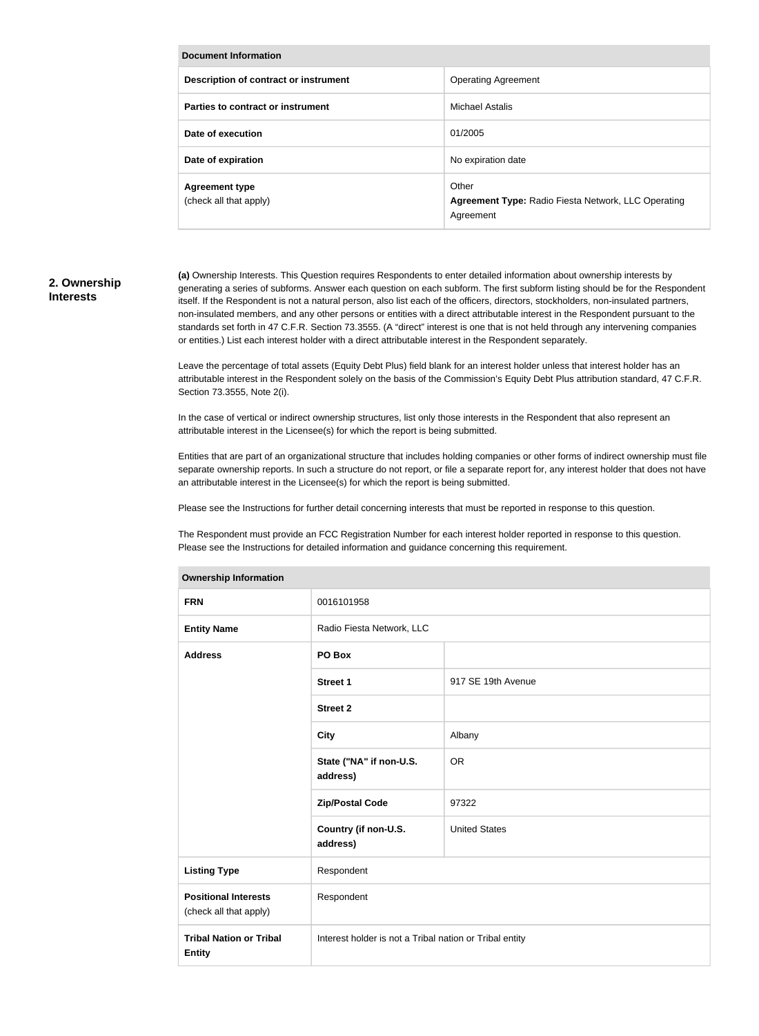| Document Information                            |                                                                                  |  |  |
|-------------------------------------------------|----------------------------------------------------------------------------------|--|--|
| Description of contract or instrument           | <b>Operating Agreement</b>                                                       |  |  |
| Parties to contract or instrument               | <b>Michael Astalis</b>                                                           |  |  |
| Date of execution                               | 01/2005                                                                          |  |  |
| Date of expiration                              | No expiration date                                                               |  |  |
| <b>Agreement type</b><br>(check all that apply) | Other<br><b>Agreement Type: Radio Fiesta Network, LLC Operating</b><br>Agreement |  |  |

### **2. Ownership Interests**

**(a)** Ownership Interests. This Question requires Respondents to enter detailed information about ownership interests by generating a series of subforms. Answer each question on each subform. The first subform listing should be for the Respondent itself. If the Respondent is not a natural person, also list each of the officers, directors, stockholders, non-insulated partners, non-insulated members, and any other persons or entities with a direct attributable interest in the Respondent pursuant to the standards set forth in 47 C.F.R. Section 73.3555. (A "direct" interest is one that is not held through any intervening companies or entities.) List each interest holder with a direct attributable interest in the Respondent separately.

Leave the percentage of total assets (Equity Debt Plus) field blank for an interest holder unless that interest holder has an attributable interest in the Respondent solely on the basis of the Commission's Equity Debt Plus attribution standard, 47 C.F.R. Section 73.3555, Note 2(i).

In the case of vertical or indirect ownership structures, list only those interests in the Respondent that also represent an attributable interest in the Licensee(s) for which the report is being submitted.

Entities that are part of an organizational structure that includes holding companies or other forms of indirect ownership must file separate ownership reports. In such a structure do not report, or file a separate report for, any interest holder that does not have an attributable interest in the Licensee(s) for which the report is being submitted.

Please see the Instructions for further detail concerning interests that must be reported in response to this question.

The Respondent must provide an FCC Registration Number for each interest holder reported in response to this question. Please see the Instructions for detailed information and guidance concerning this requirement.

| <b>Ownership information</b>                          |                                                         |                      |  |
|-------------------------------------------------------|---------------------------------------------------------|----------------------|--|
| <b>FRN</b>                                            | 0016101958                                              |                      |  |
| <b>Entity Name</b>                                    | Radio Fiesta Network, LLC                               |                      |  |
| <b>Address</b>                                        | PO Box                                                  |                      |  |
|                                                       | <b>Street 1</b>                                         | 917 SE 19th Avenue   |  |
|                                                       | <b>Street 2</b>                                         |                      |  |
|                                                       | <b>City</b>                                             | Albany               |  |
|                                                       | State ("NA" if non-U.S.<br>address)                     | <b>OR</b>            |  |
|                                                       | <b>Zip/Postal Code</b>                                  | 97322                |  |
|                                                       | Country (if non-U.S.<br>address)                        | <b>United States</b> |  |
| <b>Listing Type</b>                                   | Respondent                                              |                      |  |
| <b>Positional Interests</b><br>(check all that apply) | Respondent                                              |                      |  |
| <b>Tribal Nation or Tribal</b><br><b>Entity</b>       | Interest holder is not a Tribal nation or Tribal entity |                      |  |

#### **Ownership Information**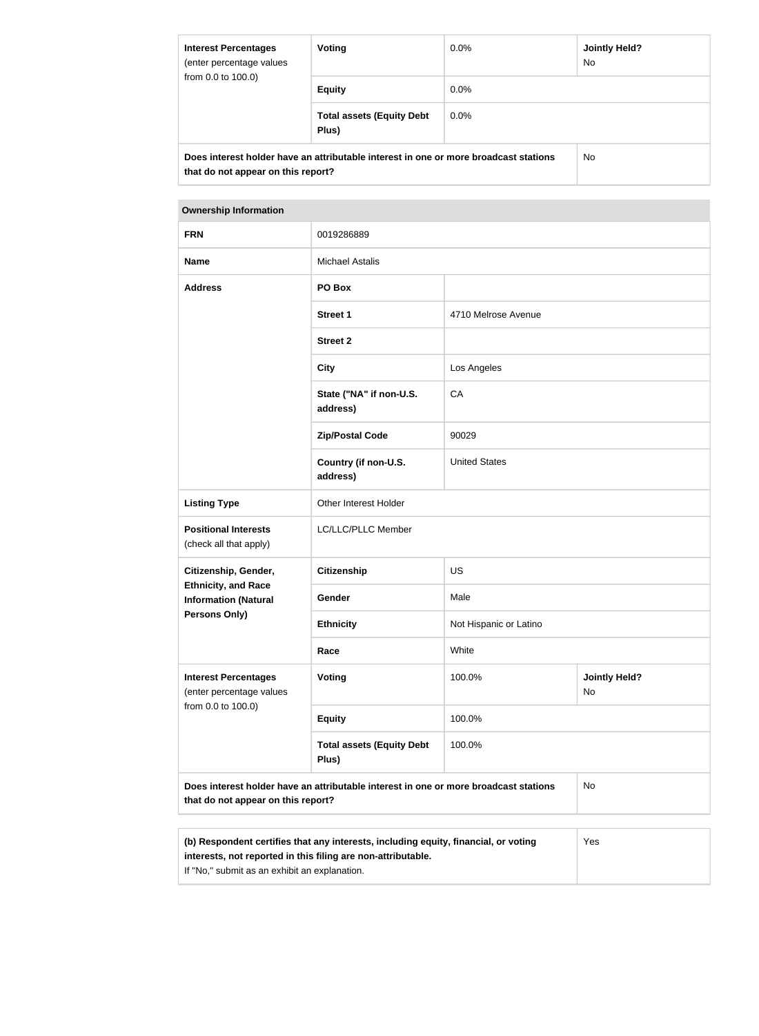| <b>Interest Percentages</b><br>(enter percentage values<br>from 0.0 to 100.0) | Voting                                                                               | $0.0\%$ | Jointly Held?<br>No. |
|-------------------------------------------------------------------------------|--------------------------------------------------------------------------------------|---------|----------------------|
|                                                                               | <b>Equity</b>                                                                        | $0.0\%$ |                      |
|                                                                               | <b>Total assets (Equity Debt</b><br>Plus)                                            | $0.0\%$ |                      |
| that do not appear on this report?                                            | Does interest holder have an attributable interest in one or more broadcast stations |         | No.                  |

#### **Ownership Information**

| <b>FRN</b>                                                                                                                 | 0019286889                                |                        |                            |
|----------------------------------------------------------------------------------------------------------------------------|-------------------------------------------|------------------------|----------------------------|
| <b>Name</b>                                                                                                                | <b>Michael Astalis</b>                    |                        |                            |
| <b>Address</b>                                                                                                             | PO Box                                    |                        |                            |
|                                                                                                                            | <b>Street 1</b>                           | 4710 Melrose Avenue    |                            |
|                                                                                                                            | <b>Street 2</b>                           |                        |                            |
|                                                                                                                            | <b>City</b>                               | Los Angeles            |                            |
|                                                                                                                            | State ("NA" if non-U.S.<br>address)       | CA                     |                            |
|                                                                                                                            | <b>Zip/Postal Code</b>                    | 90029                  |                            |
|                                                                                                                            | Country (if non-U.S.<br>address)          | <b>United States</b>   |                            |
| <b>Listing Type</b>                                                                                                        | Other Interest Holder                     |                        |                            |
| <b>Positional Interests</b><br>(check all that apply)                                                                      | LC/LLC/PLLC Member                        |                        |                            |
| Citizenship, Gender,                                                                                                       | <b>Citizenship</b>                        | US                     |                            |
| <b>Ethnicity, and Race</b><br><b>Information (Natural</b>                                                                  | Gender                                    | Male                   |                            |
| <b>Persons Only)</b>                                                                                                       | <b>Ethnicity</b>                          | Not Hispanic or Latino |                            |
|                                                                                                                            | Race                                      | White                  |                            |
| <b>Interest Percentages</b><br>(enter percentage values<br>from 0.0 to 100.0)                                              | Voting                                    | 100.0%                 | <b>Jointly Held?</b><br>No |
|                                                                                                                            | <b>Equity</b>                             | 100.0%                 |                            |
|                                                                                                                            | <b>Total assets (Equity Debt</b><br>Plus) | 100.0%                 |                            |
| Does interest holder have an attributable interest in one or more broadcast stations<br>that do not appear on this report? |                                           |                        | <b>No</b>                  |
|                                                                                                                            |                                           |                        |                            |
|                                                                                                                            |                                           |                        |                            |

| (b) Respondent certifies that any interests, including equity, financial, or voting | Yes |
|-------------------------------------------------------------------------------------|-----|
| interests, not reported in this filing are non-attributable.                        |     |
| If "No," submit as an exhibit an explanation.                                       |     |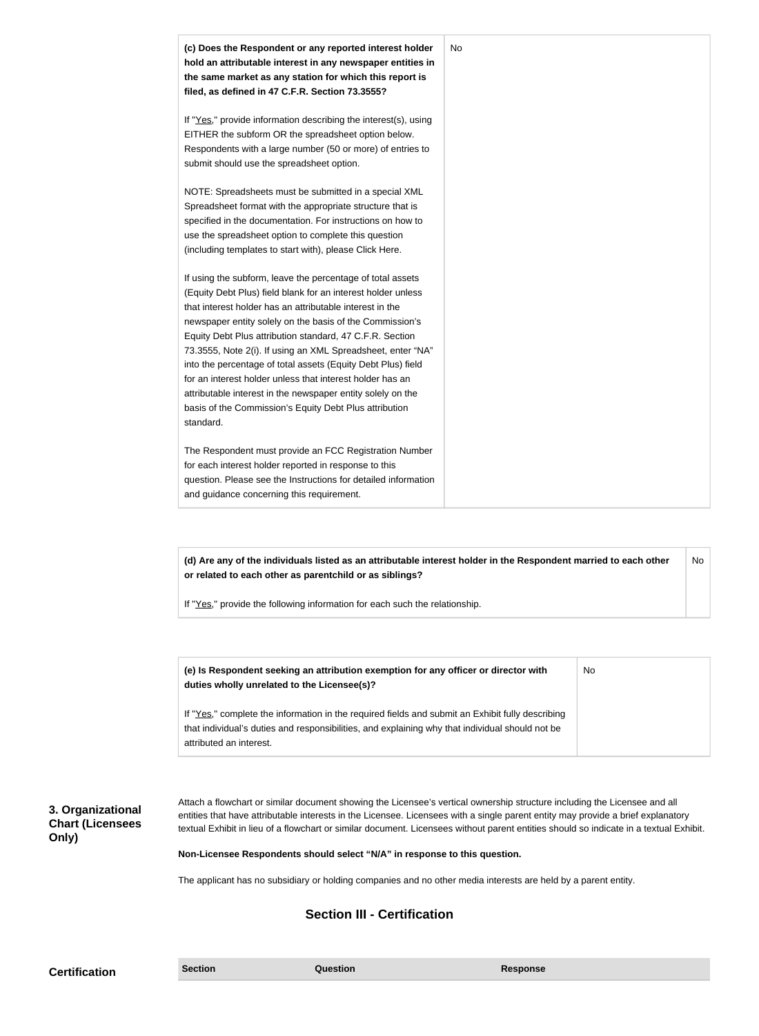| (c) Does the Respondent or any reported interest holder<br>hold an attributable interest in any newspaper entities in<br>the same market as any station for which this report is<br>filed, as defined in 47 C.F.R. Section 73.3555?                                                                                                                                                                                                                                                                                                                                                                                                              | No |
|--------------------------------------------------------------------------------------------------------------------------------------------------------------------------------------------------------------------------------------------------------------------------------------------------------------------------------------------------------------------------------------------------------------------------------------------------------------------------------------------------------------------------------------------------------------------------------------------------------------------------------------------------|----|
| If "Yes," provide information describing the interest(s), using<br>EITHER the subform OR the spreadsheet option below.<br>Respondents with a large number (50 or more) of entries to<br>submit should use the spreadsheet option.                                                                                                                                                                                                                                                                                                                                                                                                                |    |
| NOTE: Spreadsheets must be submitted in a special XML<br>Spreadsheet format with the appropriate structure that is<br>specified in the documentation. For instructions on how to<br>use the spreadsheet option to complete this question<br>(including templates to start with), please Click Here.                                                                                                                                                                                                                                                                                                                                              |    |
| If using the subform, leave the percentage of total assets<br>(Equity Debt Plus) field blank for an interest holder unless<br>that interest holder has an attributable interest in the<br>newspaper entity solely on the basis of the Commission's<br>Equity Debt Plus attribution standard, 47 C.F.R. Section<br>73.3555, Note 2(i). If using an XML Spreadsheet, enter "NA"<br>into the percentage of total assets (Equity Debt Plus) field<br>for an interest holder unless that interest holder has an<br>attributable interest in the newspaper entity solely on the<br>basis of the Commission's Equity Debt Plus attribution<br>standard. |    |
| The Respondent must provide an FCC Registration Number<br>for each interest holder reported in response to this<br>question. Please see the Instructions for detailed information<br>and guidance concerning this requirement.                                                                                                                                                                                                                                                                                                                                                                                                                   |    |

**(d) Are any of the individuals listed as an attributable interest holder in the Respondent married to each other or related to each other as parentchild or as siblings?** No

If "Yes," provide the following information for each such the relationship.

| (e) Is Respondent seeking an attribution exemption for any officer or director with<br>duties wholly unrelated to the Licensee(s)?                                                                  | No |
|-----------------------------------------------------------------------------------------------------------------------------------------------------------------------------------------------------|----|
| If "Yes," complete the information in the required fields and submit an Exhibit fully describing<br>that individual's duties and responsibilities, and explaining why that individual should not be |    |
| attributed an interest.                                                                                                                                                                             |    |

**3. Organizational Chart (Licensees Only)**

Attach a flowchart or similar document showing the Licensee's vertical ownership structure including the Licensee and all entities that have attributable interests in the Licensee. Licensees with a single parent entity may provide a brief explanatory textual Exhibit in lieu of a flowchart or similar document. Licensees without parent entities should so indicate in a textual Exhibit.

**Non-Licensee Respondents should select "N/A" in response to this question.**

The applicant has no subsidiary or holding companies and no other media interests are held by a parent entity.

# **Section III - Certification**

**Certification Section Section Question** *Question* **Response**